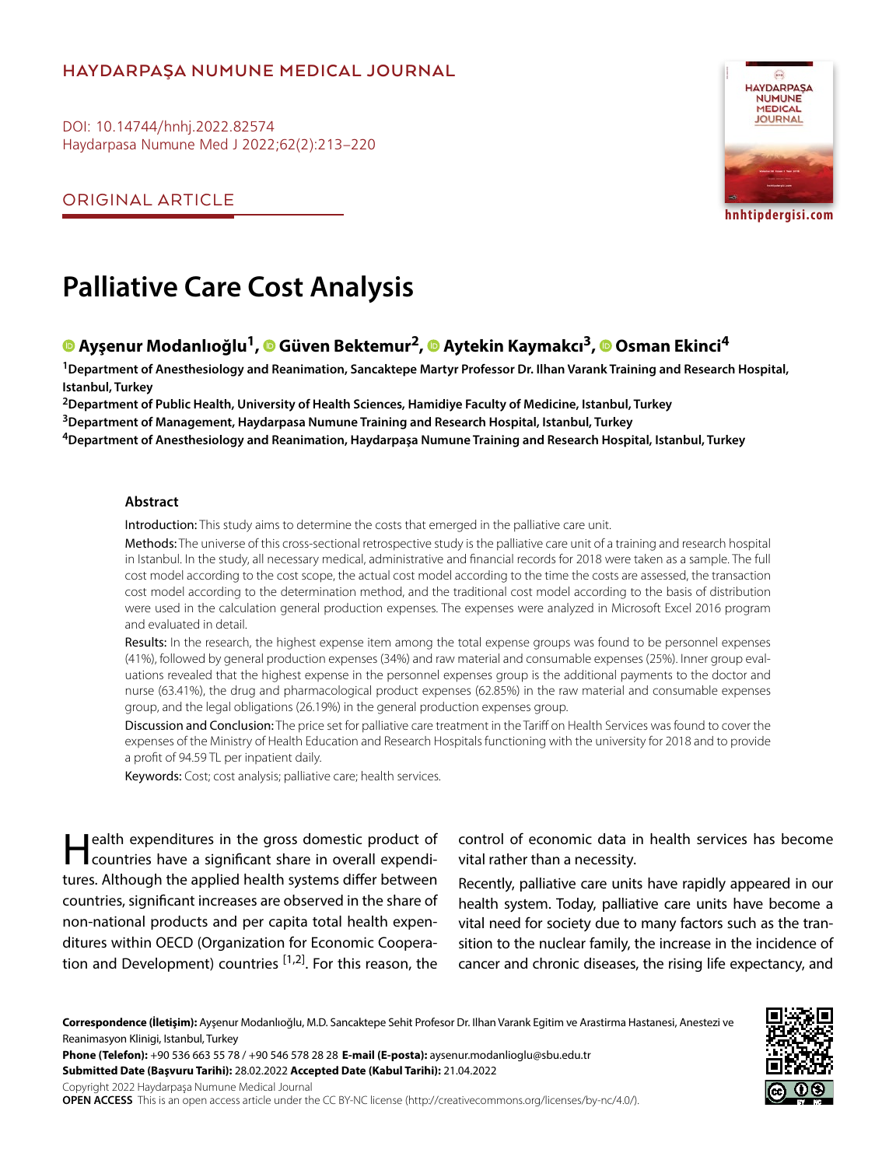# **HAYDARPAŞA NUMUNE MEDICAL JOURNAL**

DOI: 10.14744/hnhj.2022.82574 Haydarpasa Numune Med J 2022;62(2):213–220

ORIGINAL ARTICLE



**hnhtipdergisi.com**

# **Palliative Care Cost Analysis**

# **Ayşenur Modanlıoğlu1,Güven Bektemur2,Aytekin Kaymakcı3,Osman Ekinci4**

**1Department of Anesthesiology and Reanimation, Sancaktepe Martyr Professor Dr. Ilhan Varank Training and Research Hospital, Istanbul, Turkey**

**2Department of Public Health, University of Health Sciences, Hamidiye Faculty of Medicine, Istanbul, Turkey**

**3Department of Management, Haydarpasa Numune Training and Research Hospital, Istanbul, Turkey**

**4Department of Anesthesiology and Reanimation, Haydarpaşa Numune Training and Research Hospital, Istanbul, Turkey**

#### **Abstract**

Introduction: This study aims to determine the costs that emerged in the palliative care unit.

Methods: The universe of this cross-sectional retrospective study is the palliative care unit of a training and research hospital in Istanbul. In the study, all necessary medical, administrative and financial records for 2018 were taken as a sample. The full cost model according to the cost scope, the actual cost model according to the time the costs are assessed, the transaction cost model according to the determination method, and the traditional cost model according to the basis of distribution were used in the calculation general production expenses. The expenses were analyzed in Microsoft Excel 2016 program and evaluated in detail.

Results: In the research, the highest expense item among the total expense groups was found to be personnel expenses (41%), followed by general production expenses (34%) and raw material and consumable expenses (25%). Inner group evaluations revealed that the highest expense in the personnel expenses group is the additional payments to the doctor and nurse (63.41%), the drug and pharmacological product expenses (62.85%) in the raw material and consumable expenses group, and the legal obligations (26.19%) in the general production expenses group.

Discussion and Conclusion: The price set for palliative care treatment in the Tariff on Health Services was found to cover the expenses of the Ministry of Health Education and Research Hospitals functioning with the university for 2018 and to provide a profit of 94.59 TL per inpatient daily.

Keywords: Cost; cost analysis; palliative care; health services.

Health expenditures in the gross domestic product of countries have a significant share in overall expenditures. Although the applied health systems differ between countries, significant increases are observed in the share of non-national products and per capita total health expenditures within OECD (Organization for Economic Cooperation and Development) countries  $[1,2]$ . For this reason, the control of economic data in health services has become vital rather than a necessity.

Recently, palliative care units have rapidly appeared in our health system. Today, palliative care units have become a vital need for society due to many factors such as the transition to the nuclear family, the increase in the incidence of cancer and chronic diseases, the rising life expectancy, and

**Correspondence (İletişim):** Ayşenur Modanlıoğlu, M.D. Sancaktepe Sehit Profesor Dr. Ilhan Varank Egitim ve Arastirma Hastanesi, Anestezi ve Reanimasyon Klinigi, Istanbul, Turkey

**Phone (Telefon):** +90 536 663 55 78 / +90 546 578 28 28 **E-mail (E-posta):** aysenur.modanlioglu@sbu.edu.tr **Submitted Date (Başvuru Tarihi):** 28.02.2022 **Accepted Date (Kabul Tarihi):** 21.04.2022 Copyright 2022 Haydarpaşa Numune Medical Journal

**OPEN ACCESS** This is an open access article under the CC BY-NC license (http://creativecommons.org/licenses/by-nc/4.0/).

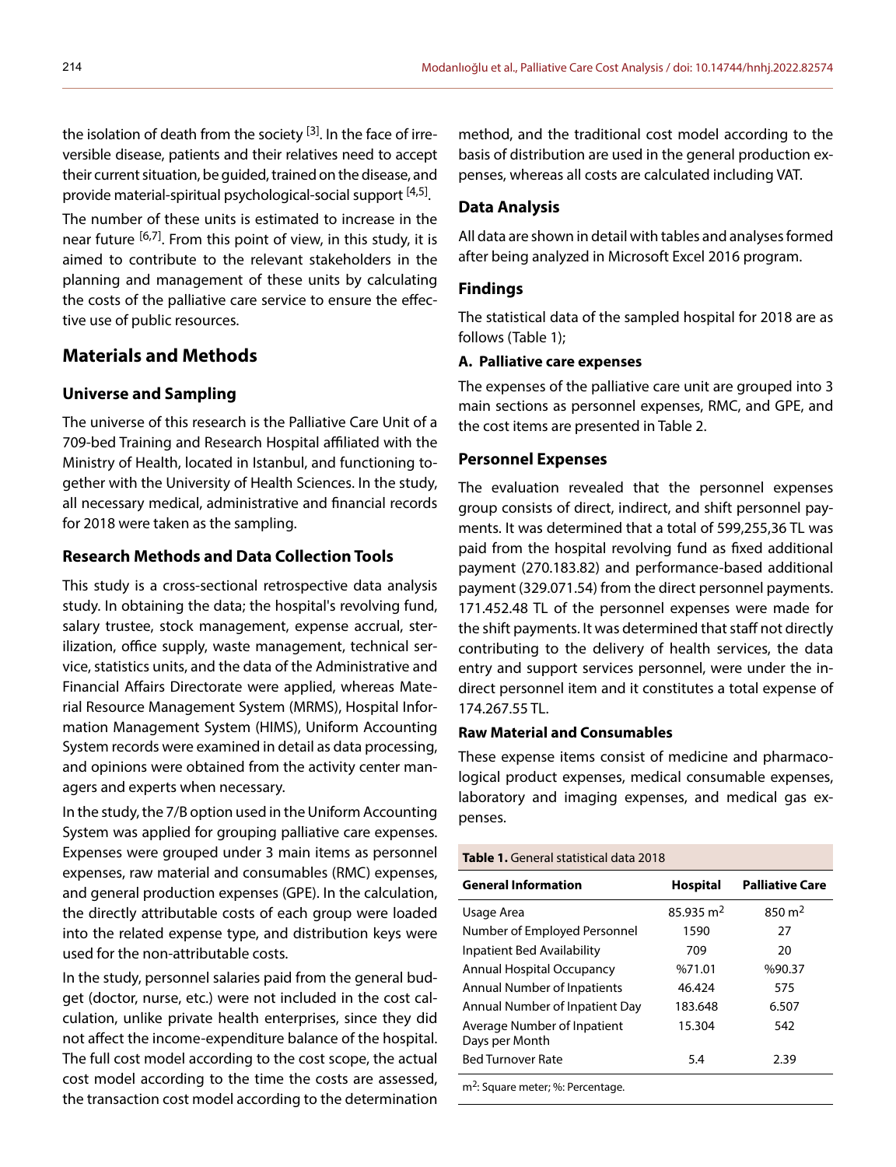the isolation of death from the society  $^{[3]}$ . In the face of irreversible disease, patients and their relatives need to accept their current situation, be guided, trained on the disease, and provide material-spiritual psychological-social support <sup>[4,5]</sup>.

The number of these units is estimated to increase in the near future <sup>[6,7]</sup>. From this point of view, in this study, it is aimed to contribute to the relevant stakeholders in the planning and management of these units by calculating the costs of the palliative care service to ensure the effective use of public resources.

# **Materials and Methods**

# **Universe and Sampling**

The universe of this research is the Palliative Care Unit of a 709-bed Training and Research Hospital affiliated with the Ministry of Health, located in Istanbul, and functioning together with the University of Health Sciences. In the study, all necessary medical, administrative and financial records for 2018 were taken as the sampling.

## **Research Methods and Data Collection Tools**

This study is a cross-sectional retrospective data analysis study. In obtaining the data; the hospital's revolving fund, salary trustee, stock management, expense accrual, sterilization, office supply, waste management, technical service, statistics units, and the data of the Administrative and Financial Affairs Directorate were applied, whereas Material Resource Management System (MRMS), Hospital Information Management System (HIMS), Uniform Accounting System records were examined in detail as data processing, and opinions were obtained from the activity center managers and experts when necessary.

In the study, the 7/B option used in the Uniform Accounting System was applied for grouping palliative care expenses. Expenses were grouped under 3 main items as personnel expenses, raw material and consumables (RMC) expenses, and general production expenses (GPE). In the calculation, the directly attributable costs of each group were loaded into the related expense type, and distribution keys were used for the non-attributable costs.

In the study, personnel salaries paid from the general budget (doctor, nurse, etc.) were not included in the cost calculation, unlike private health enterprises, since they did not affect the income-expenditure balance of the hospital. The full cost model according to the cost scope, the actual cost model according to the time the costs are assessed, the transaction cost model according to the determination

method, and the traditional cost model according to the basis of distribution are used in the general production expenses, whereas all costs are calculated including VAT.

## **Data Analysis**

All data are shown in detail with tables and analyses formed after being analyzed in Microsoft Excel 2016 program.

### **Findings**

The statistical data of the sampled hospital for 2018 are as follows (Table 1);

# **A. Palliative care expenses**

The expenses of the palliative care unit are grouped into 3 main sections as personnel expenses, RMC, and GPE, and the cost items are presented in Table 2.

#### **Personnel Expenses**

The evaluation revealed that the personnel expenses group consists of direct, indirect, and shift personnel payments. It was determined that a total of 599,255,36 TL was paid from the hospital revolving fund as fixed additional payment (270.183.82) and performance-based additional payment (329.071.54) from the direct personnel payments. 171.452.48 TL of the personnel expenses were made for the shift payments. It was determined that staff not directly contributing to the delivery of health services, the data entry and support services personnel, were under the indirect personnel item and it constitutes a total expense of 174.267.55 TL.

# **Raw Material and Consumables**

These expense items consist of medicine and pharmacological product expenses, medical consumable expenses, laboratory and imaging expenses, and medical gas expenses.

#### **Table 1.** General statistical data 2018

| <b>General Information</b>                    | <b>Hospital</b>      | <b>Palliative Care</b> |
|-----------------------------------------------|----------------------|------------------------|
| Usage Area                                    | $85.935 \text{ m}^2$ | 850 $m2$               |
| Number of Employed Personnel                  | 1590                 | 27                     |
| <b>Inpatient Bed Availability</b>             | 709                  | 20                     |
| <b>Annual Hospital Occupancy</b>              | %71.01               | %90.37                 |
| <b>Annual Number of Inpatients</b>            | 46.424               | 575                    |
| Annual Number of Inpatient Day                | 183.648              | 6.507                  |
| Average Number of Inpatient<br>Days per Month | 15.304               | 542                    |
| <b>Bed Turnover Rate</b>                      | 5.4                  | 2.39                   |
|                                               |                      |                        |

m<sup>2</sup>: Square meter; %: Percentage.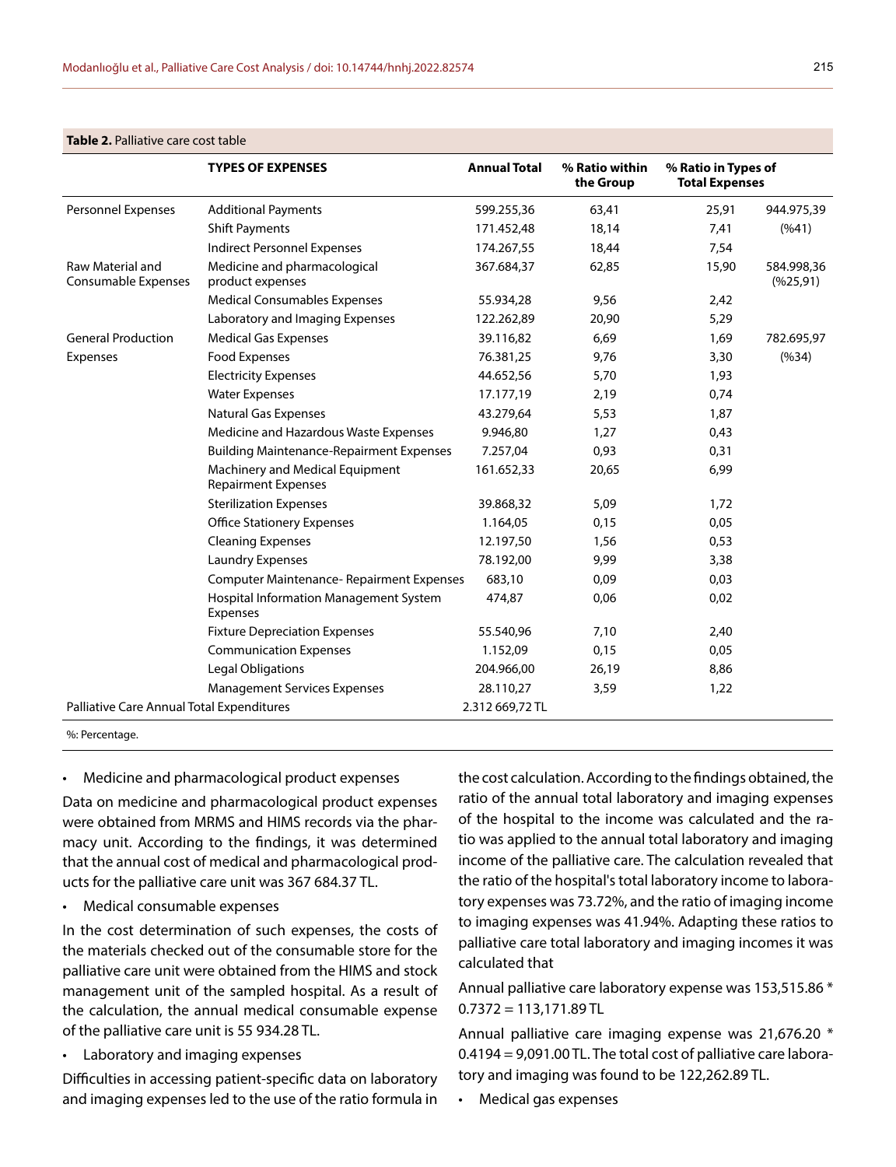|                                           | <b>TYPES OF EXPENSES</b>                                      | <b>Annual Total</b> | % Ratio within<br>the Group | % Ratio in Types of<br><b>Total Expenses</b> |                         |
|-------------------------------------------|---------------------------------------------------------------|---------------------|-----------------------------|----------------------------------------------|-------------------------|
| Personnel Expenses                        | <b>Additional Payments</b>                                    | 599.255,36          | 63,41                       | 25,91                                        | 944.975,39              |
|                                           | <b>Shift Payments</b>                                         | 171.452,48          | 18,14                       | 7,41                                         | (%41)                   |
|                                           | <b>Indirect Personnel Expenses</b>                            | 174.267,55          | 18,44                       | 7,54                                         |                         |
| Raw Material and<br>Consumable Expenses   | Medicine and pharmacological<br>product expenses              | 367.684,37          | 62,85                       | 15,90                                        | 584.998,36<br>(% 25,91) |
|                                           | <b>Medical Consumables Expenses</b>                           | 55.934,28           | 9,56                        | 2,42                                         |                         |
|                                           | Laboratory and Imaging Expenses                               | 122.262,89          | 20,90                       | 5,29                                         |                         |
| <b>General Production</b>                 | <b>Medical Gas Expenses</b>                                   | 39.116,82           | 6,69                        | 1,69                                         | 782.695,97              |
| Expenses                                  | Food Expenses                                                 | 76.381,25           | 9,76                        | 3,30                                         | (%34)                   |
|                                           | <b>Electricity Expenses</b>                                   | 44.652,56           | 5,70                        | 1,93                                         |                         |
|                                           | <b>Water Expenses</b>                                         | 17.177,19           | 2,19                        | 0,74                                         |                         |
|                                           | Natural Gas Expenses                                          | 43.279,64           | 5,53                        | 1,87                                         |                         |
|                                           | Medicine and Hazardous Waste Expenses                         | 9.946,80            | 1,27                        | 0,43                                         |                         |
|                                           | <b>Building Maintenance-Repairment Expenses</b>               | 7.257,04            | 0,93                        | 0,31                                         |                         |
|                                           | Machinery and Medical Equipment<br><b>Repairment Expenses</b> | 161.652,33          | 20,65                       | 6,99                                         |                         |
|                                           | <b>Sterilization Expenses</b>                                 | 39.868,32           | 5,09                        | 1,72                                         |                         |
|                                           | <b>Office Stationery Expenses</b>                             | 1.164,05            | 0,15                        | 0,05                                         |                         |
|                                           | <b>Cleaning Expenses</b>                                      | 12.197,50           | 1,56                        | 0,53                                         |                         |
|                                           | <b>Laundry Expenses</b>                                       | 78.192,00           | 9,99                        | 3,38                                         |                         |
|                                           | <b>Computer Maintenance- Repairment Expenses</b>              | 683,10              | 0,09                        | 0,03                                         |                         |
|                                           | Hospital Information Management System<br>Expenses            | 474,87              | 0,06                        | 0,02                                         |                         |
|                                           | <b>Fixture Depreciation Expenses</b>                          | 55.540,96           | 7,10                        | 2,40                                         |                         |
|                                           | <b>Communication Expenses</b>                                 | 1.152,09            | 0,15                        | 0,05                                         |                         |
|                                           | Legal Obligations                                             | 204.966,00          | 26,19                       | 8,86                                         |                         |
|                                           | <b>Management Services Expenses</b>                           | 28.110,27           | 3,59                        | 1,22                                         |                         |
| Palliative Care Annual Total Expenditures |                                                               | 2.312 669,72 TL     |                             |                                              |                         |

#### **Table 2.** Palliative care cost table

%: Percentage.

• Medicine and pharmacological product expenses

Data on medicine and pharmacological product expenses were obtained from MRMS and HIMS records via the pharmacy unit. According to the findings, it was determined that the annual cost of medical and pharmacological products for the palliative care unit was 367 684.37 TL.

• Medical consumable expenses

In the cost determination of such expenses, the costs of the materials checked out of the consumable store for the palliative care unit were obtained from the HIMS and stock management unit of the sampled hospital. As a result of the calculation, the annual medical consumable expense of the palliative care unit is 55 934.28 TL.

• Laboratory and imaging expenses

Difficulties in accessing patient-specific data on laboratory and imaging expenses led to the use of the ratio formula in the cost calculation. According to the findings obtained, the ratio of the annual total laboratory and imaging expenses of the hospital to the income was calculated and the ratio was applied to the annual total laboratory and imaging income of the palliative care. The calculation revealed that the ratio of the hospital's total laboratory income to laboratory expenses was 73.72%, and the ratio of imaging income to imaging expenses was 41.94%. Adapting these ratios to palliative care total laboratory and imaging incomes it was calculated that

Annual palliative care laboratory expense was 153,515.86 \*  $0.7372 = 113,171.89$  TL

Annual palliative care imaging expense was 21,676.20 \* 0.4194 = 9,091.00 TL. The total cost of palliative care laboratory and imaging was found to be 122,262.89 TL.

• Medical gas expenses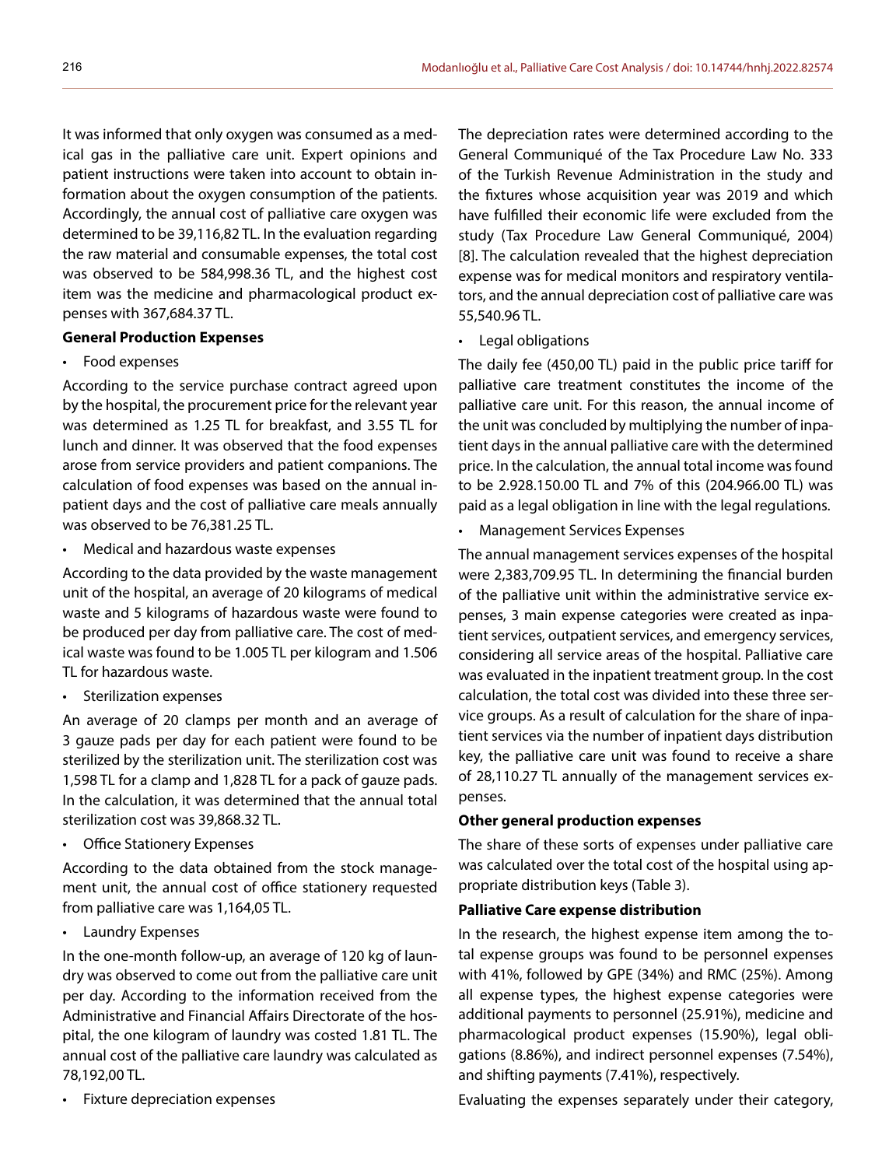It was informed that only oxygen was consumed as a medical gas in the palliative care unit. Expert opinions and patient instructions were taken into account to obtain information about the oxygen consumption of the patients. Accordingly, the annual cost of palliative care oxygen was determined to be 39,116,82 TL. In the evaluation regarding the raw material and consumable expenses, the total cost was observed to be 584,998.36 TL, and the highest cost item was the medicine and pharmacological product expenses with 367,684.37 TL.

# **General Production Expenses**

• Food expenses

According to the service purchase contract agreed upon by the hospital, the procurement price for the relevant year was determined as 1.25 TL for breakfast, and 3.55 TL for lunch and dinner. It was observed that the food expenses arose from service providers and patient companions. The calculation of food expenses was based on the annual inpatient days and the cost of palliative care meals annually was observed to be 76,381.25 TL.

• Medical and hazardous waste expenses

According to the data provided by the waste management unit of the hospital, an average of 20 kilograms of medical waste and 5 kilograms of hazardous waste were found to be produced per day from palliative care. The cost of medical waste was found to be 1.005 TL per kilogram and 1.506 TL for hazardous waste.

• Sterilization expenses

An average of 20 clamps per month and an average of 3 gauze pads per day for each patient were found to be sterilized by the sterilization unit. The sterilization cost was 1,598 TL for a clamp and 1,828 TL for a pack of gauze pads. In the calculation, it was determined that the annual total sterilization cost was 39,868.32 TL.

• Office Stationery Expenses

According to the data obtained from the stock management unit, the annual cost of office stationery requested from palliative care was 1,164,05 TL.

• Laundry Expenses

In the one-month follow-up, an average of 120 kg of laundry was observed to come out from the palliative care unit per day. According to the information received from the Administrative and Financial Affairs Directorate of the hospital, the one kilogram of laundry was costed 1.81 TL. The annual cost of the palliative care laundry was calculated as 78,192,00 TL.

• Fixture depreciation expenses

The depreciation rates were determined according to the General Communiqué of the Tax Procedure Law No. 333 of the Turkish Revenue Administration in the study and the fixtures whose acquisition year was 2019 and which have fulfilled their economic life were excluded from the study (Tax Procedure Law General Communiqué, 2004) [8]. The calculation revealed that the highest depreciation expense was for medical monitors and respiratory ventilators, and the annual depreciation cost of palliative care was 55,540.96 TL.

• Legal obligations

The daily fee (450,00 TL) paid in the public price tariff for palliative care treatment constitutes the income of the palliative care unit. For this reason, the annual income of the unit was concluded by multiplying the number of inpatient days in the annual palliative care with the determined price. In the calculation, the annual total income was found to be 2.928.150.00 TL and 7% of this (204.966.00 TL) was paid as a legal obligation in line with the legal regulations.

• Management Services Expenses

The annual management services expenses of the hospital were 2,383,709.95 TL. In determining the financial burden of the palliative unit within the administrative service expenses, 3 main expense categories were created as inpatient services, outpatient services, and emergency services, considering all service areas of the hospital. Palliative care was evaluated in the inpatient treatment group. In the cost calculation, the total cost was divided into these three service groups. As a result of calculation for the share of inpatient services via the number of inpatient days distribution key, the palliative care unit was found to receive a share of 28,110.27 TL annually of the management services expenses.

## **Other general production expenses**

The share of these sorts of expenses under palliative care was calculated over the total cost of the hospital using appropriate distribution keys (Table 3).

## **Palliative Care expense distribution**

In the research, the highest expense item among the total expense groups was found to be personnel expenses with 41%, followed by GPE (34%) and RMC (25%). Among all expense types, the highest expense categories were additional payments to personnel (25.91%), medicine and pharmacological product expenses (15.90%), legal obligations (8.86%), and indirect personnel expenses (7.54%), and shifting payments (7.41%), respectively.

Evaluating the expenses separately under their category,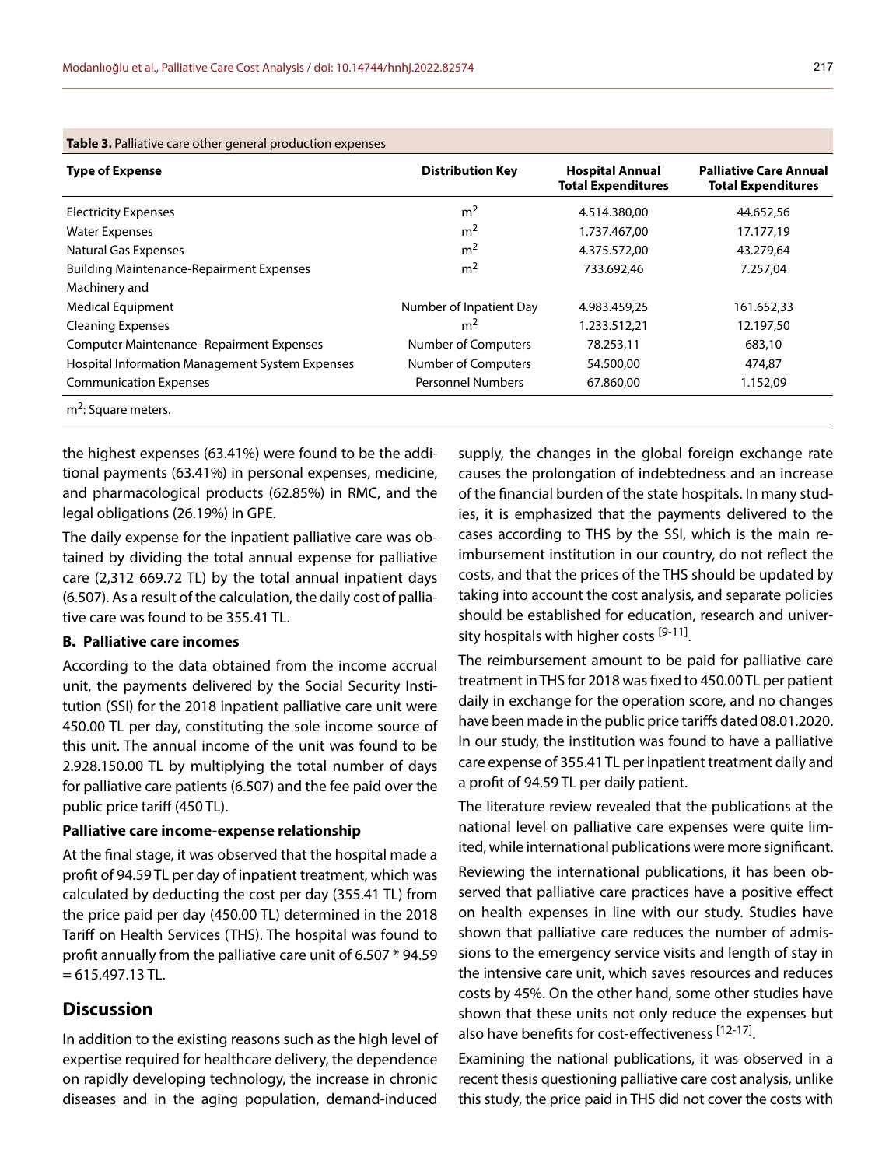| <b>Table 3.</b> Palliative care other general production expenses |                          |                                                     |                                                            |  |  |  |  |
|-------------------------------------------------------------------|--------------------------|-----------------------------------------------------|------------------------------------------------------------|--|--|--|--|
| <b>Type of Expense</b>                                            | <b>Distribution Key</b>  | <b>Hospital Annual</b><br><b>Total Expenditures</b> | <b>Palliative Care Annual</b><br><b>Total Expenditures</b> |  |  |  |  |
| <b>Electricity Expenses</b>                                       | m <sup>2</sup>           | 4.514.380,00                                        | 44.652,56                                                  |  |  |  |  |
| <b>Water Expenses</b>                                             | m <sup>2</sup>           | 1.737.467.00                                        | 17.177,19                                                  |  |  |  |  |
| Natural Gas Expenses                                              | m <sup>2</sup>           | 4.375.572,00                                        | 43.279,64                                                  |  |  |  |  |
| <b>Building Maintenance-Repairment Expenses</b>                   | m <sup>2</sup>           | 733.692,46                                          | 7.257,04                                                   |  |  |  |  |
| Machinery and                                                     |                          |                                                     |                                                            |  |  |  |  |
| <b>Medical Equipment</b>                                          | Number of Inpatient Day  | 4.983.459,25                                        | 161.652,33                                                 |  |  |  |  |
| <b>Cleaning Expenses</b>                                          | m <sup>2</sup>           | 1.233.512,21                                        | 12.197,50                                                  |  |  |  |  |
| <b>Computer Maintenance- Repairment Expenses</b>                  | Number of Computers      | 78.253,11                                           | 683,10                                                     |  |  |  |  |
| <b>Hospital Information Management System Expenses</b>            | Number of Computers      | 54.500,00                                           | 474,87                                                     |  |  |  |  |
| <b>Communication Expenses</b>                                     | <b>Personnel Numbers</b> | 67.860,00                                           | 1.152,09                                                   |  |  |  |  |
| $m2$ : Square meters.                                             |                          |                                                     |                                                            |  |  |  |  |

the highest expenses (63.41%) were found to be the additional payments (63.41%) in personal expenses, medicine, and pharmacological products (62.85%) in RMC, and the legal obligations (26.19%) in GPE.

The daily expense for the inpatient palliative care was obtained by dividing the total annual expense for palliative care (2,312 669.72 TL) by the total annual inpatient days (6.507). As a result of the calculation, the daily cost of palliative care was found to be 355.41 TL.

#### **B. Palliative care incomes**

According to the data obtained from the income accrual unit, the payments delivered by the Social Security Institution (SSI) for the 2018 inpatient palliative care unit were 450.00 TL per day, constituting the sole income source of this unit. The annual income of the unit was found to be 2.928.150.00 TL by multiplying the total number of days for palliative care patients (6.507) and the fee paid over the public price tariff (450 TL).

#### **Palliative care income-expense relationship**

At the final stage, it was observed that the hospital made a profit of 94.59 TL per day of inpatient treatment, which was calculated by deducting the cost per day (355.41 TL) from the price paid per day (450.00 TL) determined in the 2018 Tariff on Health Services (THS). The hospital was found to profit annually from the palliative care unit of 6.507 \* 94.59  $= 615.497.13$  TL.

# **Discussion**

In addition to the existing reasons such as the high level of expertise required for healthcare delivery, the dependence on rapidly developing technology, the increase in chronic diseases and in the aging population, demand-induced

supply, the changes in the global foreign exchange rate causes the prolongation of indebtedness and an increase of the financial burden of the state hospitals. In many studies, it is emphasized that the payments delivered to the cases according to THS by the SSI, which is the main reimbursement institution in our country, do not reflect the costs, and that the prices of the THS should be updated by taking into account the cost analysis, and separate policies should be established for education, research and university hospitals with higher costs [9-11].

The reimbursement amount to be paid for palliative care treatment in THS for 2018 was fixed to 450.00 TL per patient daily in exchange for the operation score, and no changes have been made in the public price tariffs dated 08.01.2020. In our study, the institution was found to have a palliative care expense of 355.41 TL per inpatient treatment daily and a profit of 94.59 TL per daily patient.

The literature review revealed that the publications at the national level on palliative care expenses were quite limited, while international publications were more significant.

Reviewing the international publications, it has been observed that palliative care practices have a positive effect on health expenses in line with our study. Studies have shown that palliative care reduces the number of admissions to the emergency service visits and length of stay in the intensive care unit, which saves resources and reduces costs by 45%. On the other hand, some other studies have shown that these units not only reduce the expenses but also have benefits for cost-effectiveness [12-17].

Examining the national publications, it was observed in a recent thesis questioning palliative care cost analysis, unlike this study, the price paid in THS did not cover the costs with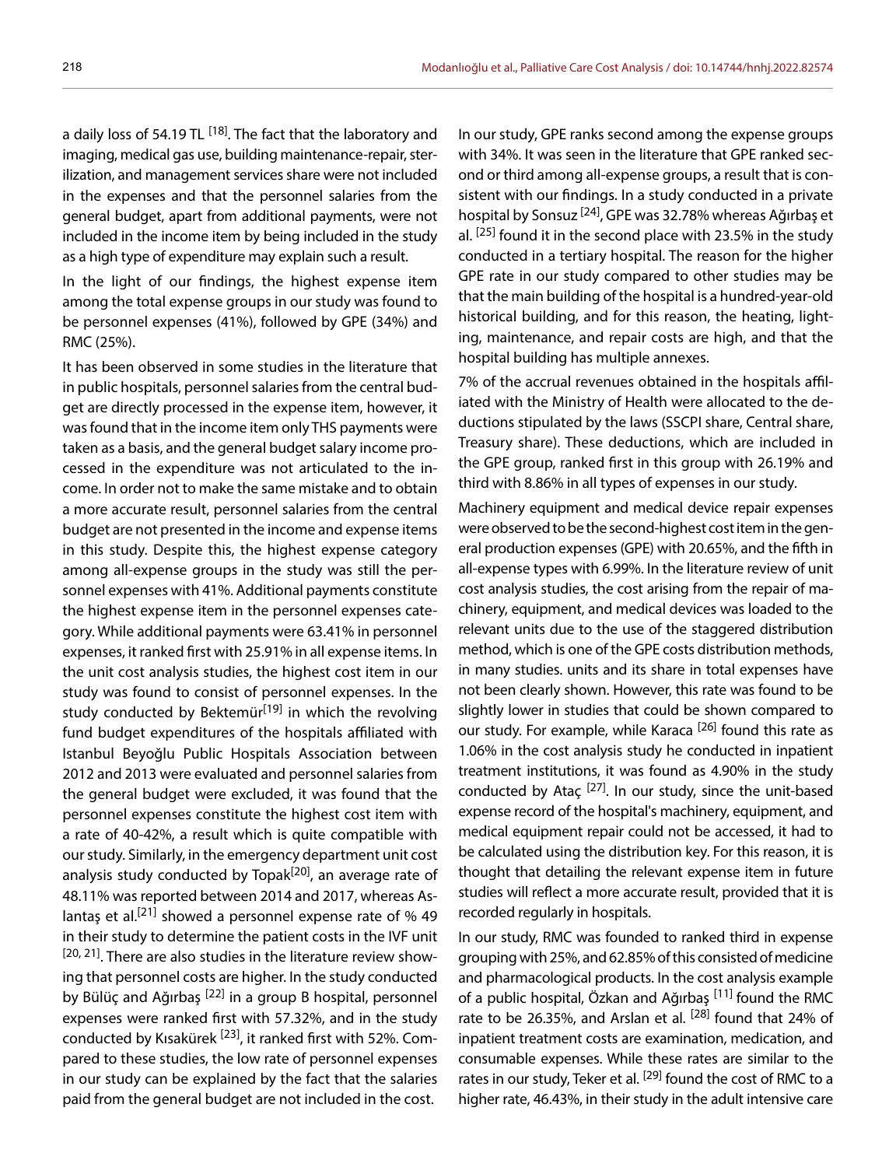a daily loss of 54.19 TL <sup>[18]</sup>. The fact that the laboratory and imaging, medical gas use, building maintenance-repair, sterilization, and management services share were not included in the expenses and that the personnel salaries from the general budget, apart from additional payments, were not included in the income item by being included in the study as a high type of expenditure may explain such a result.

In the light of our findings, the highest expense item among the total expense groups in our study was found to be personnel expenses (41%), followed by GPE (34%) and RMC (25%).

It has been observed in some studies in the literature that in public hospitals, personnel salaries from the central budget are directly processed in the expense item, however, it was found that in the income item only THS payments were taken as a basis, and the general budget salary income processed in the expenditure was not articulated to the income. In order not to make the same mistake and to obtain a more accurate result, personnel salaries from the central budget are not presented in the income and expense items in this study. Despite this, the highest expense category among all-expense groups in the study was still the personnel expenses with 41%. Additional payments constitute the highest expense item in the personnel expenses category. While additional payments were 63.41% in personnel expenses, it ranked first with 25.91% in all expense items. In the unit cost analysis studies, the highest cost item in our study was found to consist of personnel expenses. In the study conducted by Bektemür<sup>[19]</sup> in which the revolving fund budget expenditures of the hospitals affiliated with Istanbul Beyoğlu Public Hospitals Association between 2012 and 2013 were evaluated and personnel salaries from the general budget were excluded, it was found that the personnel expenses constitute the highest cost item with a rate of 40-42%, a result which is quite compatible with our study. Similarly, in the emergency department unit cost analysis study conducted by Topak<sup>[20]</sup>, an average rate of 48.11% was reported between 2014 and 2017, whereas Aslantas et al.<sup>[21]</sup> showed a personnel expense rate of % 49 in their study to determine the patient costs in the IVF unit [20, 21]. There are also studies in the literature review showing that personnel costs are higher. In the study conducted by Bülüç and Ağırbaş <sup>[22]</sup> in a group B hospital, personnel expenses were ranked first with 57.32%, and in the study conducted by Kısakürek [23], it ranked first with 52%. Compared to these studies, the low rate of personnel expenses in our study can be explained by the fact that the salaries paid from the general budget are not included in the cost.

In our study, GPE ranks second among the expense groups with 34%. It was seen in the literature that GPE ranked second or third among all-expense groups, a result that is consistent with our findings. In a study conducted in a private hospital by Sonsuz [24], GPE was 32.78% whereas Ağırbaş et al.  $[25]$  found it in the second place with 23.5% in the study conducted in a tertiary hospital. The reason for the higher GPE rate in our study compared to other studies may be that the main building of the hospital is a hundred-year-old historical building, and for this reason, the heating, lighting, maintenance, and repair costs are high, and that the hospital building has multiple annexes.

7% of the accrual revenues obtained in the hospitals affiliated with the Ministry of Health were allocated to the deductions stipulated by the laws (SSCPI share, Central share, Treasury share). These deductions, which are included in the GPE group, ranked first in this group with 26.19% and third with 8.86% in all types of expenses in our study.

Machinery equipment and medical device repair expenses were observed to be the second-highest cost item in the general production expenses (GPE) with 20.65%, and the fifth in all-expense types with 6.99%. In the literature review of unit cost analysis studies, the cost arising from the repair of machinery, equipment, and medical devices was loaded to the relevant units due to the use of the staggered distribution method, which is one of the GPE costs distribution methods, in many studies. units and its share in total expenses have not been clearly shown. However, this rate was found to be slightly lower in studies that could be shown compared to our study. For example, while Karaca<sup>[26]</sup> found this rate as 1.06% in the cost analysis study he conducted in inpatient treatment institutions, it was found as 4.90% in the study conducted by Ataç  $[27]$ . In our study, since the unit-based expense record of the hospital's machinery, equipment, and medical equipment repair could not be accessed, it had to be calculated using the distribution key. For this reason, it is thought that detailing the relevant expense item in future studies will reflect a more accurate result, provided that it is recorded regularly in hospitals.

In our study, RMC was founded to ranked third in expense grouping with 25%, and 62.85% of this consisted of medicine and pharmacological products. In the cost analysis example of a public hospital, Özkan and Ağırbaş [11] found the RMC rate to be 26.35%, and Arslan et al.  $[28]$  found that 24% of inpatient treatment costs are examination, medication, and consumable expenses. While these rates are similar to the rates in our study, Teker et al. <sup>[29]</sup> found the cost of RMC to a higher rate, 46.43%, in their study in the adult intensive care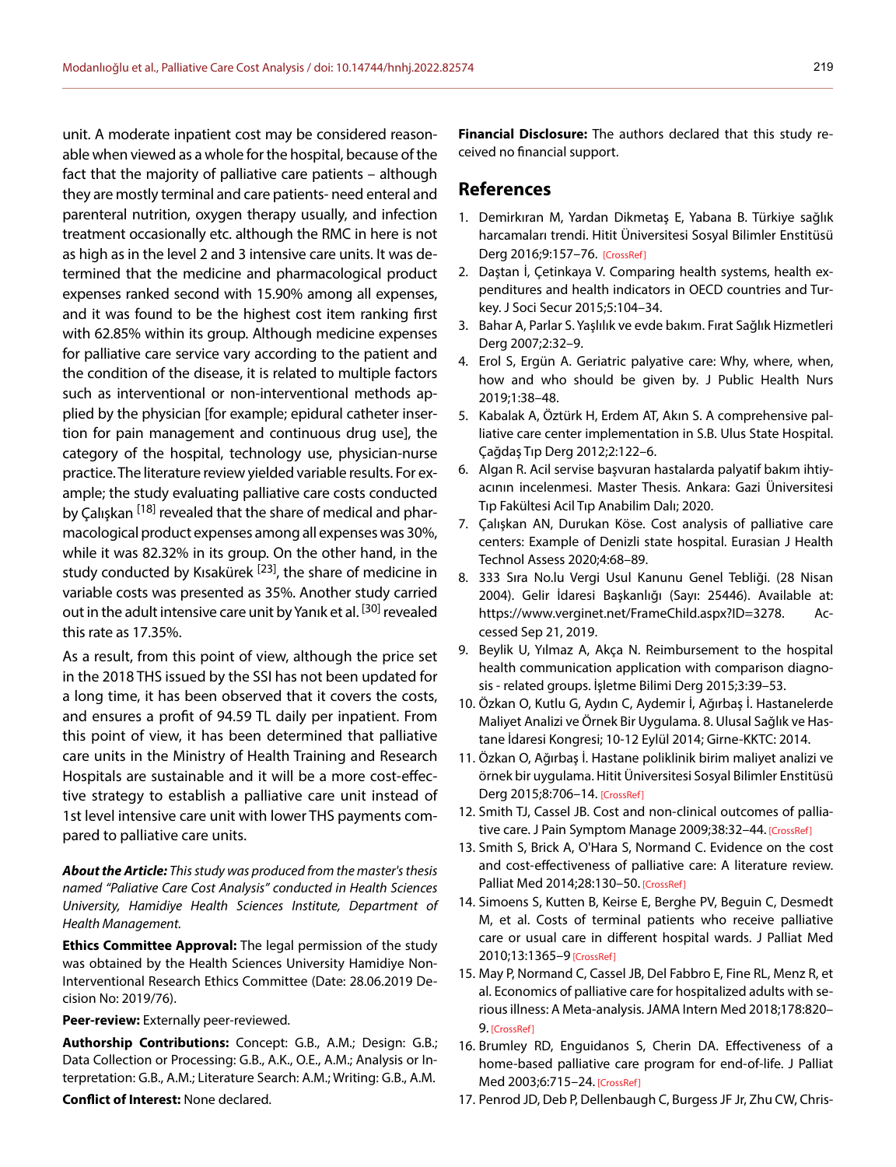unit. A moderate inpatient cost may be considered reasonable when viewed as a whole for the hospital, because of the fact that the majority of palliative care patients – although they are mostly terminal and care patients- need enteral and parenteral nutrition, oxygen therapy usually, and infection treatment occasionally etc. although the RMC in here is not as high as in the level 2 and 3 intensive care units. It was determined that the medicine and pharmacological product expenses ranked second with 15.90% among all expenses, and it was found to be the highest cost item ranking first with 62.85% within its group. Although medicine expenses for palliative care service vary according to the patient and the condition of the disease, it is related to multiple factors such as interventional or non-interventional methods applied by the physician [for example; epidural catheter insertion for pain management and continuous drug use], the category of the hospital, technology use, physician-nurse practice. The literature review yielded variable results. For example; the study evaluating palliative care costs conducted by Çalışkan <sup>[18]</sup> revealed that the share of medical and pharmacological product expenses among all expenses was 30%, while it was 82.32% in its group. On the other hand, in the study conducted by Kısakürek <sup>[23]</sup>, the share of medicine in variable costs was presented as 35%. Another study carried out in the adult intensive care unit by Yanık et al. <sup>[30]</sup> revealed this rate as 17.35%.

As a result, from this point of view, although the price set in the 2018 THS issued by the SSI has not been updated for a long time, it has been observed that it covers the costs, and ensures a profit of 94.59 TL daily per inpatient. From this point of view, it has been determined that palliative care units in the Ministry of Health Training and Research Hospitals are sustainable and it will be a more cost-effective strategy to establish a palliative care unit instead of 1st level intensive care unit with lower THS payments compared to palliative care units.

*About the Article: This study was produced from the master's thesis named "Paliative Care Cost Analysis" conducted in Health Sciences University, Hamidiye Health Sciences Institute, Department of Health Management.*

**Ethics Committee Approval:** The legal permission of the study was obtained by the Health Sciences University Hamidiye Non-Interventional Research Ethics Committee (Date: 28.06.2019 Decision No: 2019/76).

#### **Peer-review:** Externally peer-reviewed.

**Authorship Contributions:** Concept: G.B., A.M.; Design: G.B.; Data Collection or Processing: G.B., A.K., O.E., A.M.; Analysis or Interpretation: G.B., A.M.; Literature Search: A.M.; Writing: G.B., A.M.

**Conflict of Interest:** None declared.

**Financial Disclosure:** The authors declared that this study received no financial support.

#### **References**

- 1. Demirkıran M, Yardan Dikmetaş E, Yabana B. Türkiye sağlık harcamaları trendi. Hitit Üniversitesi Sosyal Bilimler Enstitüsü Derg 2016;9:157–76. [\[CrossRef\]](https://doi.org/10.17218/husbed.12216)
- 2. Daştan İ, Çetinkaya V. Comparing health systems, health expenditures and health indicators in OECD countries and Turkey. J Soci Secur 2015;5:104–34.
- 3. Bahar A, Parlar S. Yaşlılık ve evde bakım. Fırat Sağlık Hizmetleri Derg 2007;2:32–9.
- 4. Erol S, Ergün A. Geriatric palyative care: Why, where, when, how and who should be given by. J Public Health Nurs 2019;1:38–48.
- 5. Kabalak A, Öztürk H, Erdem AT, Akın S. A comprehensive palliative care center implementation in S.B. Ulus State Hospital. Çağdaş Tıp Derg 2012;2:122–6.
- 6. Algan R. Acil servise başvuran hastalarda palyatif bakım ihtiyacının incelenmesi. Master Thesis. Ankara: Gazi Üniversitesi Tıp Fakültesi Acil Tıp Anabilim Dalı; 2020.
- 7. Çalışkan AN, Durukan Köse. Cost analysis of palliative care centers: Example of Denizli state hospital. Eurasian J Health Technol Assess 2020;4:68–89.
- 8. 333 Sıra No.lu Vergi Usul Kanunu Genel Tebliği. (28 Nisan 2004). Gelir İdaresi Başkanlığı (Sayı: 25446). Available at: https://www.verginet.net/FrameChild.aspx?ID=3278. Accessed Sep 21, 2019.
- 9. Beylik U, Yılmaz A, Akça N. Reimbursement to the hospital health communication application with comparison diagnosis - related groups. İşletme Bilimi Derg 2015;3:39–53.
- 10. Özkan O, Kutlu G, Aydın C, Aydemir İ, Ağırbaş İ. Hastanelerde Maliyet Analizi ve Örnek Bir Uygulama. 8. Ulusal Sağlık ve Hastane İdaresi Kongresi; 10-12 Eylül 2014; Girne-KKT[C: 2014.](https://doi.org/10.17218/husbed.01508)
- 11. Özkan O, Ağırbaş İ. Hastane poliklinik birim maliyet analizi ve örnek bir uygulama. Hitit Üniversitesi Sosyal Bilimler Enstitüsü Derg 2015;8:706–14. [\[CrossRef\]](https://doi.org/10.17218/husbed.01508)
- 12. Smith TJ, Cassel JB. Cost and non-clinical outcomes of pallia-tive care. J Pain Symptom Manage 2009;38:32-44. [\[CrossRef\]](https://doi.org/10.1016/j.jpainsymman.2009.05.001)
- 13. Smith S, Brick A, O'Hara S, Normand C. Evidence on the cost and cost-effectiveness of palliative care: A literature review. Palliat Med 2014;28:130–50. [\[CrossRef\]](https://doi.org/10.1177/0269216313493466)
- 14. Simoens S, Kutten B, Keirse E, Berghe PV, Beguin C, Desmedt M, et al. Costs of terminal patients who receive palliative care or usual care in different hospital wards. J Palliat Med 2010;13:1365–[9 \[CrossRef\]](https://doi.org/10.1089/jpm.2010.0212)
- 15. May P, Normand C, Cassel JB, Del Fabbro E, Fine RL, Menz R, et al. Economics of palliative care for hospitalized adults with serious illness: A Meta-analysis. JAMA Intern Med 2018;178:820– 9. [\[CrossRef\]](https://doi.org/10.1001/jamainternmed.2018.0750)
- 16. Brumley RD, Enguidanos S, Cherin DA. Effectiveness of a home-based palliative care program for end-of-life. J Palliat Med 2003;6:715–24. [\[CrossRef\]](https://doi.org/10.1089/109662103322515220)
- 17. Penrod JD, Deb P, Dellenbaugh C, Burgess JF Jr, Zhu CW, Chris-